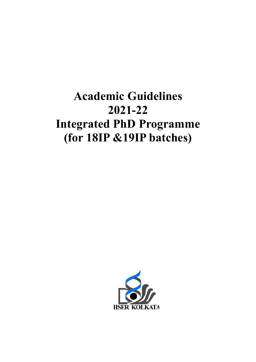# Academic Guidelines<br>2021-22 Integrated PhD Programme (for 18IP &19IP batches batches)

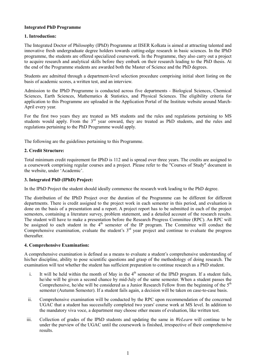## Integrated PhD Programme

## 1. Introduction:

The Integrated Doctor of Philosophy (IPhD) Programme at IISER Kolkata is aimed at attracting talented and innovative fresh undergraduate degree holders towards cutting-edge research in basic sciences. In the IPhD programme, the students are offered specialized coursework. In the Programme, they also carry out a project to acquire research and analytical skills before they embark on their research leading to the PhD thesis. At the end of the Programme students are awarded both the Master of Science and the PhD degrees.

Students are admitted through a department-level selection procedure comprising initial short listing on the basis of academic scores, a written test, and an interview.

Admission to the IPhD Programme is conducted across five departments - Biological Sciences, Chemical Sciences, Earth Sciences, Mathematics & Statistics, and Physical Sciences. The eligibility criteria for application to this Programme are uploaded in the Application Portal of the Institute website around March-April every year.

For the first two years they are treated as MS students and the rules and regulations pertaining to MS students would apply. From the 3<sup>rd</sup> year onward, they are treated as PhD students, and the rules and regulations pertaining to the PhD Programme would apply.

The following are the guidelines pertaining to this Programme.

### 2. Credit Structure:

Total minimum credit requirement for IPhD is 112 and is spread over three years. The credits are assigned to a coursework comprising regular courses and a project. Please refer to the "Courses of Study" document in the website, under 'Academic'.

#### 3. Integrated PhD (IPhD) Project:

In the IPhD Project the student should ideally commence the research work leading to the PhD degree.

The distribution of the IPhD Project over the duration of the Programme can be different for different departments. There is credit assigned to the project work in each semester in this period, and evaluation is done on the basis of a presentation and a report. A project report has to be submitted in each of the project semesters, containing a literature survey, problem statement, and a detailed account of the research results. The student will have to make a presentation before the Research Progress Committee (RPC). An RPC will be assigned to each student in the 4<sup>th</sup> semester of the IP program. The Committee will conduct the Comprehensive examination, evaluate the student's  $3<sup>rd</sup>$  year project and continue to evaluate the progress thereafter.

#### 4. Comprehensive Examination:

A comprehensive examination is defined as a means to evaluate a student's comprehensive understanding of his/her discipline, ability to pose scientific questions and grasp of the methodology of doing research. The examination will test whether the student has sufficient preparation to continue research as a PhD student.

- i. It will be held within the month of May in the  $4<sup>th</sup>$  semester of the IPhD program. If a student fails, he/she will be given a second chance by mid-July of the same semester. When a student passes the Comprehensive, he/she will be considered as a Junior Research Fellow from the beginning of the  $5<sup>th</sup>$ semester (Autumn Semester). If a student fails again, a decision will be taken on case-to-case basis.
- ii. Comprehensive examination will be conducted by the RPC upon recommendation of the concerned UGAC that a student has successfully completed two years' course work at MS level. In addition to the mandatory viva voce, a department may choose other means of evaluation, like written test.
- iii. Collection of grades of the IPhD students and updating the same in WeLearn will continue to be under the purview of the UGAC until the coursework is finished, irrespective of their comprehensive results.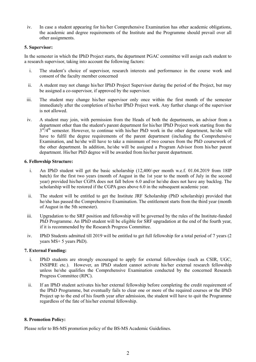iv. In case a student appearing for his/her Comprehensive Examination has other academic obligations, the academic and degree requirements of the Institute and the Programme should prevail over all other assignments.

#### 5. Supervisor:

In the semester in which the IPhD Project starts, the department PGAC committee will assign each student to a research supervisor, taking into account the following factors:

- i. The student's choice of supervisor, research interests and performance in the course work and consent of the faculty member concerned
- ii. A student may not change his/her IPhD Project Supervisor during the period of the Project, but may be assigned a co-supervisor, if approved by the supervisor.
- iii. The student may change his/her supervisor only once within the first month of the semester immediately after the completion of his/her IPhD Project work. Any further change of the supervisor is not allowed.
- iv. A student may join, with permission from the Heads of both the departments, an advisor from a department other than the student's parent department for his/her IPhD Project work starting from the  $3<sup>rd</sup>/4<sup>th</sup>$  semester. However, to continue with his/her PhD work in the other department, he/she will have to fulfil the degree requirements of the parent department (including the Comprehensive Examination, and he/she will have to take a minimum of two courses from the PhD coursework of the other department. In addition, he/she will be assigned a Program Advisor from his/her parent department. His/her PhD degree will be awarded from his/her parent department.

### 6. Fellowship Structure:

- i. An IPhD student will get the basic scholarship (12,400/-per month w.e.f. 01.04.2019 from 18IP batch) for the first two years (month of August in the 1st year to the month of July in the second year) provided his/her CGPA does not fall below 6.0 and/or he/she does not have any backlog. The scholarship will be restored if the CGPA goes above 6.0 in the subsequent academic year.
- ii. The student will be entitled to get the Institute JRF Scholarship (PhD scholarship) provided that he/she has passed the Comprehensive Examination. The entitlement starts from the third year (month of August in the 5th semester).
- iii. Upgradation to the SRF position and fellowship will be governed by the rules of the Institute-funded PhD Programme. An IPhD student will be eligible for SRF upgradation at the end of the fourth year, if it is recommended by the Research Progress Committee.
- iv. IPhD Students admitted till 2019 will be entitled to get full fellowship for a total period of 7 years (2 years MS+ 5 years PhD).

# 7. External Funding:

- i. IPhD students are strongly encouraged to apply for external fellowships (such as CSIR, UGC, INSIPRE etc.). However, an IPhD student cannot activate his/her external research fellowship unless he/she qualifies the Comprehensive Examination conducted by the concerned Research Progress Committee (RPC).
- ii. If an IPhD student activates his/her external fellowship before completing the credit requirement of the IPhD Programme, but eventually fails to clear one or more of the required courses or the IPhD Project up to the end of his fourth year after admission, the student will have to quit the Programme regardless of the fate of his/her external fellowship.

# 8. Promotion Policy:

Please refer to BS-MS promotion policy of the BS-MS Academic Guidelines.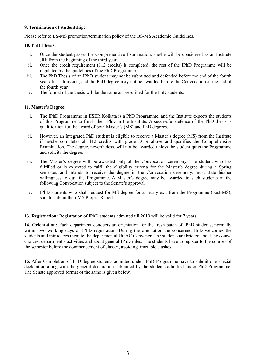#### 9. Termination of studentship:

Please refer to BS-MS promotion/termination policy of the BS-MS Academic Guidelines.

### 10. PhD Thesis:

- i. Once the student passes the Comprehensive Examination, she/he will be considered as an Institute JRF from the beginning of the third year.
- ii. Once the credit requirement (112 credits) is completed, the rest of the IPhD Programme will be regulated by the guidelines of the PhD Programme.
- iii. The PhD Thesis of an IPhD student may not be submitted and defended before the end of the fourth year after admission, and the PhD degree may not be awarded before the Convocation at the end of the fourth year.
- iv. The format of the thesis will be the same as prescribed for the PhD students.

# 11. Master's Degree:

- i. The IPhD Programme in IISER Kolkata is a PhD Programme, and the Institute expects the students of this Programme to finish their PhD in the Institute. A successful defence of the PhD thesis is qualification for the award of both Master's (MS) and PhD degrees.
- ii. However, an Integrated PhD student is eligible to receive a Master's degree (MS) from the Institute if he/she completes all 112 credits with grade D or above and qualifies the Comprehensive Examination. The degree, nevertheless, will not be awarded unless the student quits the Programme and solicits the degree.
- iii. The Master's degree will be awarded only at the Convocation ceremony. The student who has fulfilled or is expected to fulfil the eligibility criteria for the Master's degree during a Spring semester, and intends to receive the degree in the Convocation ceremony, must state his/her willingness to quit the Programme. A Master's degree may be awarded to such students in the following Convocation subject to the Senate's approval.
- iv. IPhD students who shall request for MS degree for an early exit from the Programme (post-MS), should submit their MS Project Report .

13. Registration: Registration of IPhD students admitted till 2019 will be valid for 7 years.

14. Orientation: Each department conducts an orientation for the fresh batch of IPhD students, normally within two working days of IPhD registration. During the orientation the concerned HoD welcomes the students and introduces them to the departmental UGAC Convener. The students are briefed about the course choices, department's activities and about general IPhD rules. The students have to register to the courses of the semester before the commencement of classes, avoiding timetable clashes.

15. After Completion of PhD degree students admitted under IPhD Programme have to submit one special declaration along with the general declaration submitted by the students admitted under PhD Programme. The Senate approved format of the same is given below.